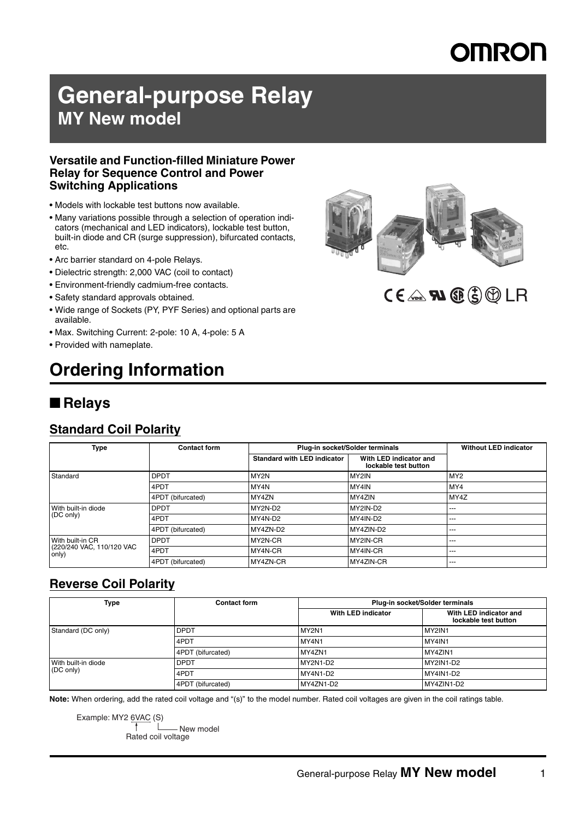# MRON

# **General-purpose Relay MY New model**

### **Versatile and Function-filled Miniature Power Relay for Sequence Control and Power Switching Applications**

- Models with lockable test buttons now available.
- Many variations possible through a selection of operation indicators (mechanical and LED indicators), lockable test button, built-in diode and CR (surge suppression), bifurcated contacts, etc.
- Arc barrier standard on 4-pole Relays.
- Dielectric strength: 2,000 VAC (coil to contact)
- Environment-friendly cadmium-free contacts.
- Safety standard approvals obtained.
- Wide range of Sockets (PY, PYF Series) and optional parts are available.
- Max. Switching Current: 2-pole: 10 A, 4-pole: 5 A
- Provided with nameplate.

# **Ordering Information**

## ■ **Relays**

## **Standard Coil Polarity**

| <b>Type</b>                                            | <b>Contact form</b> |                                    | Plug-in socket/Solder terminals                | <b>Without LED indicator</b> |
|--------------------------------------------------------|---------------------|------------------------------------|------------------------------------------------|------------------------------|
|                                                        |                     | <b>Standard with LED indicator</b> | With LED indicator and<br>lockable test button |                              |
| Standard                                               | <b>DPDT</b>         | MY2N                               | MY2IN                                          | MY <sub>2</sub>              |
|                                                        | 4PDT                | MY4N                               | MY4IN                                          | MY4                          |
|                                                        | 4PDT (bifurcated)   | MY4ZN                              | MY4ZIN                                         | MY4Z                         |
| With built-in diode                                    | <b>DPDT</b>         | MY2N-D2                            | MY2IN-D2                                       | ---                          |
| (DC only)                                              | 4PDT                | MY4N-D2                            | MY4IN-D2                                       | ---                          |
|                                                        | 4PDT (bifurcated)   | MY4ZN-D2                           | MY4ZIN-D2                                      | ---                          |
| With built-in CR<br>(220/240 VAC, 110/120 VAC<br>only) | <b>DPDT</b>         | MY2N-CR                            | MY2IN-CR                                       | $- - -$                      |
|                                                        | 4PDT                | MY4N-CR                            | MY4IN-CR                                       | ---                          |
|                                                        | 4PDT (bifurcated)   | MY4ZN-CR                           | MY4ZIN-CR                                      | ---                          |

## **Reverse Coil Polarity**

| Type                             | <b>Contact form</b> | Plug-in socket/Solder terminals |                                                |  |
|----------------------------------|---------------------|---------------------------------|------------------------------------------------|--|
|                                  |                     | With LED indicator              | With LED indicator and<br>lockable test button |  |
| Standard (DC only)               | <b>DPDT</b>         | MY2N1                           | MY2IN1                                         |  |
|                                  | 4PDT                | MY4N1                           | MY4IN1                                         |  |
|                                  | 4PDT (bifurcated)   | MY4ZN1                          | MY4ZIN1                                        |  |
| With built-in diode<br>(DC only) | <b>DPDT</b>         | <b>MY2N1-D2</b>                 | MY2IN1-D2                                      |  |
|                                  | 4PDT                | MY4N1-D2                        | MY4IN1-D2                                      |  |
|                                  | 4PDT (bifurcated)   | MY4ZN1-D2                       | MY4ZIN1-D2                                     |  |

**Note:** When ordering, add the rated coil voltage and "(s)" to the model number. Rated coil voltages are given in the coil ratings table.

Example: MY2 6VAC (S) Rated coil voltage New model



# $CE \triangle \mathbf{N} \times \mathbf{C}$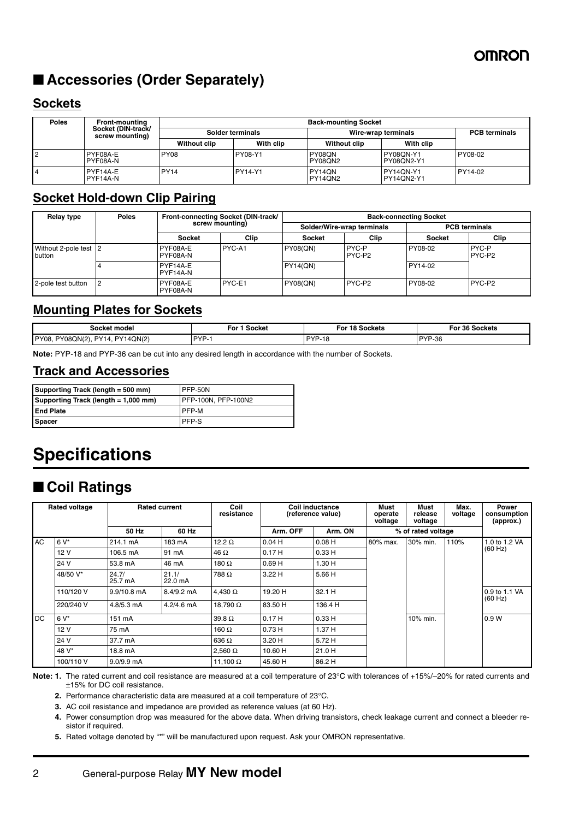# ■ **Accessories (Order Separately)**

## **Sockets**

| <b>Poles</b> | <b>Front-mounting</b>                 | <b>Back-mounting Socket</b> |                |                          |                         |                      |  |
|--------------|---------------------------------------|-----------------------------|----------------|--------------------------|-------------------------|----------------------|--|
|              | Socket (DIN-track/<br>screw mounting) | Solder terminals            |                | Wire-wrap terminals      |                         | <b>PCB</b> terminals |  |
|              |                                       | <b>Without clip</b>         | With clip      | <b>Without clip</b>      | With clip               |                      |  |
|              | PYF08A-E<br>PYF08A-N                  | <b>PY08</b>                 | PY08-Y1        | PY08QN<br><b>PY08ON2</b> | PY08ON-Y1<br>PY08ON2-Y1 | PY08-02              |  |
|              | PYF14A-E<br>PYF14A-N                  | <b>PY14</b>                 | <b>PY14-Y1</b> | PY14ON<br>PY14QN2        | PY14ON-Y1<br>PY14QN2-Y1 | PY14-02              |  |

## **Socket Hold-down Clip Pairing**

| <b>Relay type</b>               | <b>Poles</b> | Front-connecting Socket (DIN-track/<br>screw mounting) |             | <b>Back-connecting Socket</b> |                            |         |                             |
|---------------------------------|--------------|--------------------------------------------------------|-------------|-------------------------------|----------------------------|---------|-----------------------------|
|                                 |              |                                                        |             |                               | Solder/Wire-wrap terminals |         | <b>PCB</b> terminals        |
|                                 |              | <b>Socket</b>                                          | <b>Clip</b> | <b>Socket</b>                 | Clip                       | Socket  | Clip                        |
| Without 2-pole test 2<br>button |              | PYF08A-E<br>I PYF08A-N                                 | PYC-A1      | <b>PY08(QN)</b>               | <b>PYC-P</b><br>PYC-P2     | PY08-02 | PYC-P<br>PYC-P <sub>2</sub> |
|                                 |              | PYF14A-E<br>PYF14A-N                                   |             | <b>PY14(QN)</b>               |                            | PY14-02 |                             |
| 2-pole test button              |              | PYF08A-E<br>PYF08A-N                                   | PYC-E1      | <b>PY08(QN)</b>               | PYC-P <sub>2</sub>         | PY08-02 | PYC-P2                      |

## **Mounting Plates for Sockets**

| Socket model                                   | Socket     | 18 Sockets                            | $-$ For $3^{\circ}$ |
|------------------------------------------------|------------|---------------------------------------|---------------------|
|                                                | - For 1    | For                                   | ∵36 Sockets         |
| <b>PY14ON(2)</b><br>PY08,<br>PY08QN(2)<br>PV1A | <b>DVD</b> | <b>DVD</b><br>$\overline{a}$<br>ن≀- َ | <b>PYP-36</b>       |

**Note:** PYP-18 and PYP-36 can be cut into any desired length in accordance with the number of Sockets.

## **Track and Accessories**

| Supporting Track (length = 500 mm)   | PFP-50N             |
|--------------------------------------|---------------------|
| Supporting Track (length = 1,000 mm) | PFP-100N, PFP-100N2 |
| <b>End Plate</b>                     | <b>IPFP-M</b>       |
| <b>Spacer</b>                        | IPFP-S              |

# **Specifications**

# ■ **Coil Ratings**

|           | <b>Rated voltage</b> | <b>Rated current</b> |                      | Coil<br>resistance | Coil inductance<br>(reference value) |         | Must<br>operate<br>voltage | Must<br>release<br>voltage | Max.<br>voltage | Power<br>consumption<br>(approx.) |
|-----------|----------------------|----------------------|----------------------|--------------------|--------------------------------------|---------|----------------------------|----------------------------|-----------------|-----------------------------------|
|           |                      | 50 Hz                | 60 Hz                |                    | Arm. OFF                             | Arm. ON |                            | % of rated voltage         |                 |                                   |
| <b>AC</b> | $6V^*$               | 214.1 mA             | 183 mA               | 12.2 $\Omega$      | 0.04H                                | 0.08H   | 80% max.                   | 30% min.                   | 110%            | 1.0 to 1.2 VA                     |
|           | 12 V                 | 106.5 mA             | 91 mA                | 46 $\Omega$        | 0.17H                                | 0.33H   |                            |                            |                 | (60 Hz)                           |
|           | 24 V                 | 53.8 mA              | 46 mA                | 180 $\Omega$       | 0.69H                                | 1.30 H  |                            |                            |                 |                                   |
|           | 48/50 V*             | 24.7/<br>25.7 mA     | 21.1/<br>22.0 mA     | 788 Ω              | 3.22 H                               | 5.66 H  |                            |                            |                 |                                   |
|           | 110/120 V            | $9.9/10.8$ mA        | $8.4/9.2 \text{ mA}$ | 4.430 $\Omega$     | 19.20 H                              | 32.1 H  |                            |                            |                 | 0.9 to 1.1 VA<br>(60 Hz)          |
|           | 220/240 V            | $4.8/5.3$ mA         | $4.2/4.6$ mA         | 18,790 $\Omega$    | 83.50 H                              | 136.4 H |                            |                            |                 |                                   |
| DC.       | $6V^*$               | 151 mA               |                      | $39.8 \Omega$      | 0.17H                                | 0.33H   |                            | 10% min.                   |                 | 0.9W                              |
|           | 12 V                 | 75 mA                |                      | 160 $\Omega$       | 0.73H                                | 1.37 H  |                            |                            |                 |                                   |
|           | 24 V                 | 37.7 mA              |                      | $636 \Omega$       | 3.20 H                               | 5.72 H  |                            |                            |                 |                                   |
|           | 48 V*                | 18.8 mA              |                      | $2.560 \Omega$     | 10.60 H                              | 21.0 H  |                            |                            |                 |                                   |
|           | 100/110 V            | $9.0/9.9$ mA         |                      | 11.100 $\Omega$    | 45.60 H                              | 86.2 H  |                            |                            |                 |                                   |

**Note: 1.** The rated current and coil resistance are measured at a coil temperature of 23°C with tolerances of +15%/–20% for rated currents and ±15% for DC coil resistance.

**2.** Performance characteristic data are measured at a coil temperature of 23°C.

**3.** AC coil resistance and impedance are provided as reference values (at 60 Hz).

**4.** Power consumption drop was measured for the above data. When driving transistors, check leakage current and connect a bleeder resistor if required.

**5.** Rated voltage denoted by "\*" will be manufactured upon request. Ask your OMRON representative.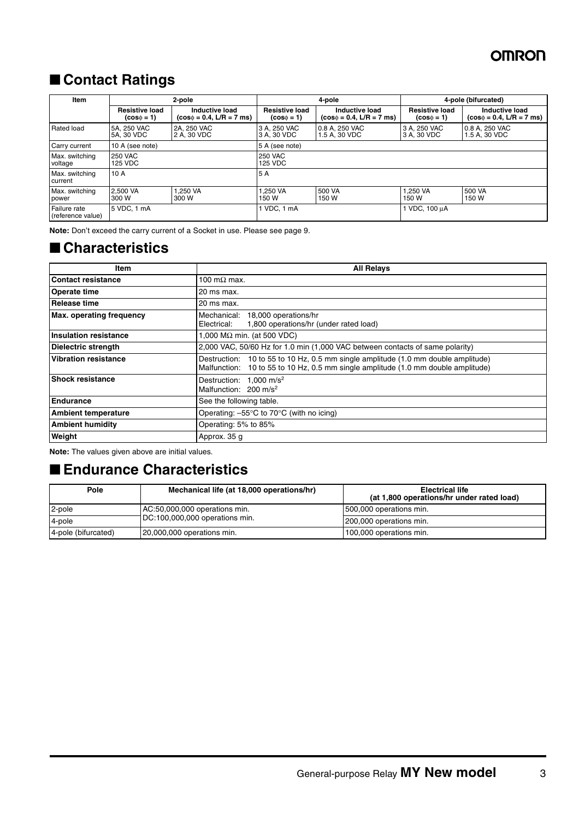# ■ **Contact Ratings**

| <b>Item</b>                       | 2-pole                |                               |                       | 4-pole                        |                       | 4-pole (bifurcated)           |  |  |
|-----------------------------------|-----------------------|-------------------------------|-----------------------|-------------------------------|-----------------------|-------------------------------|--|--|
|                                   | <b>Resistive load</b> | Inductive load                | <b>Resistive load</b> | Inductive load                | <b>Resistive load</b> | Inductive load                |  |  |
|                                   | $(cos \phi = 1)$      | $(cos\phi = 0.4, L/R = 7$ ms) | $(cos\phi = 1)$       | $(cos\phi = 0.4, L/R = 7$ ms) | $(cos \phi = 1)$      | $(cos\phi = 0.4, L/R = 7$ ms) |  |  |
| Rated load                        | 5A, 250 VAC           | 2A. 250 VAC                   | 3 A. 250 VAC          | 0.8 A. 250 VAC                | 3 A. 250 VAC          | 0.8 A. 250 VAC                |  |  |
|                                   | 5A, 30 VDC            | 2 A. 30 VDC                   | 3 A. 30 VDC           | 1.5 A. 30 VDC                 | 3 A. 30 VDC           | 1.5 A, 30 VDC                 |  |  |
| Carry current                     | 10 A (see note)       |                               | 5 A (see note)        |                               |                       |                               |  |  |
| Max. switching                    | <b>250 VAC</b>        |                               | <b>250 VAC</b>        |                               |                       |                               |  |  |
| voltage                           | 125 VDC               |                               | 125 VDC               |                               |                       |                               |  |  |
| Max. switching<br>current         | 10A                   |                               | 5 A                   |                               |                       |                               |  |  |
| Max. switching                    | 2.500 VA              | <b>.250 VA</b>                | 1.250 VA              | 500 VA                        | 1.250 VA              | 500 VA                        |  |  |
| power                             | 300 W                 | 300 W                         | 150 W                 | 150 W                         | 150 W                 | 150 W                         |  |  |
| Failure rate<br>(reference value) | 5 VDC. 1 mA           |                               | VDC. 1 mA             |                               | 1 VDC, 100 µA         |                               |  |  |

**Note:** Don't exceed the carry current of a Socket in use. Please see [page 9.](#page-8-0)

## ■ **Characteristics**

| Item                         | <b>All Relays</b>                                                                                                                                                      |
|------------------------------|------------------------------------------------------------------------------------------------------------------------------------------------------------------------|
| <b>Contact resistance</b>    | 100 m $\Omega$ max.                                                                                                                                                    |
| Operate time                 | 20 ms max.                                                                                                                                                             |
| <b>Release time</b>          | 20 ms max.                                                                                                                                                             |
| Max. operating frequency     | Mechanical: 18,000 operations/hr<br>1,800 operations/hr (under rated load)<br>Electrical:                                                                              |
| <b>Insulation resistance</b> | 1,000 M $\Omega$ min. (at 500 VDC)                                                                                                                                     |
| <b>Dielectric strength</b>   | 2,000 VAC, 50/60 Hz for 1.0 min (1,000 VAC between contacts of same polarity)                                                                                          |
| <b>Vibration resistance</b>  | Destruction: 10 to 55 to 10 Hz, 0.5 mm single amplitude (1.0 mm double amplitude)<br>Malfunction: 10 to 55 to 10 Hz, 0.5 mm single amplitude (1.0 mm double amplitude) |
| <b>Shock resistance</b>      | Destruction: 1,000 m/s <sup>2</sup><br>Malfunction: 200 m/s <sup>2</sup>                                                                                               |
| <b>Endurance</b>             | See the following table.                                                                                                                                               |
| <b>Ambient temperature</b>   | Operating: $-55^{\circ}$ C to 70 $^{\circ}$ C (with no icing)                                                                                                          |
| <b>Ambient humidity</b>      | Operating: 5% to 85%                                                                                                                                                   |
| Weight                       | Approx. 35 g                                                                                                                                                           |

**Note:** The values given above are initial values.

## ■ **Endurance Characteristics**

| Pole                | Mechanical life (at 18,000 operations/hr) | <b>Electrical life</b><br>(at 1,800 operations/hr under rated load) |  |
|---------------------|-------------------------------------------|---------------------------------------------------------------------|--|
| 2-pole              | AC:50,000,000 operations min.             | 500,000 operations min.                                             |  |
| 4-pole              | DC:100,000,000 operations min.            | 200,000 operations min.                                             |  |
| 4-pole (bifurcated) | 20,000,000 operations min.                | 100,000 operations min.                                             |  |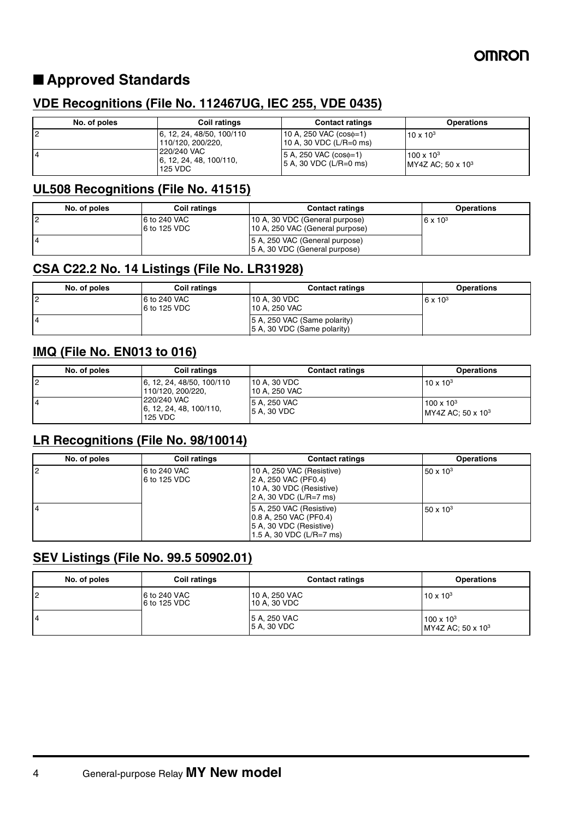# ■ **Approved Standards**

## **VDE Recognitions (File No. 112467UG, IEC 255, VDE 0435)**

| No. of poles   | <b>Coil ratings</b>                                                | <b>Contact ratings</b>                                      | <b>Operations</b>                                 |
|----------------|--------------------------------------------------------------------|-------------------------------------------------------------|---------------------------------------------------|
| $\overline{2}$ | 6, 12, 24, 48/50, 100/110<br>110/120, 200/220.                     | 10 A, 250 VAC $(cos\phi=1)$<br>10 A, 30 VDC (L/R=0 ms)      | $10 \times 10^{3}$                                |
| <b>4</b>       | 220/240 VAC<br>$\left  6, 12, 24, 48, 100/110, \right $<br>125 VDC | $ 5 A, 250 VAC (cos \phi=1) $<br>$ 5 A$ , 30 VDC (L/R=0 ms) | $100 \times 10^{3}$<br>$IMY4Z AC: 50 \times 10^3$ |

## **UL508 Recognitions (File No. 41515)**

| No. of poles | Coil ratings                 | <b>Contact ratings</b>                                            | <b>Operations</b> |
|--------------|------------------------------|-------------------------------------------------------------------|-------------------|
|              | 6 to 240 VAC<br>6 to 125 VDC | 10 A, 30 VDC (General purpose)<br>10 A, 250 VAC (General purpose) | $6 \times 10^{3}$ |
|              |                              | 5 A, 250 VAC (General purpose)<br>5 A, 30 VDC (General purpose)   |                   |

## **CSA C22.2 No. 14 Listings (File No. LR31928)**

| No. of poles | <b>Coil ratings</b>          | <b>Contact ratings</b>                                      | <b>Operations</b> |
|--------------|------------------------------|-------------------------------------------------------------|-------------------|
|              | 6 to 240 VAC<br>6 to 125 VDC | 10 A, 30 VDC<br>l 10 A. 250 VAC                             | $6 \times 10^{3}$ |
|              |                              | 5 A, 250 VAC (Same polarity)<br>5 A, 30 VDC (Same polarity) |                   |

## **IMQ (File No. EN013 to 016)**

| No. of poles | Coil ratings                                                                                                        | <b>Contact ratings</b>        | <b>Operations</b>                                 |
|--------------|---------------------------------------------------------------------------------------------------------------------|-------------------------------|---------------------------------------------------|
| 12           | 6, 12, 24, 48/50, 100/110<br>110/120, 200/220.<br>220/240 VAC<br>$\left[6, 12, 24, 48, 100/110, \right]$<br>125 VDC | 10 A. 30 VDC<br>10 A. 250 VAC | $10 \times 10^{3}$                                |
| 14           |                                                                                                                     | 5 A. 250 VAC<br>5 A. 30 VDC   | $100 \times 10^{3}$<br>$IMY4Z AC: 50 \times 10^3$ |

## **LR Recognitions (File No. 98/10014)**

| No. of poles   | <b>Coil ratings</b>          | <b>Contact ratings</b>                                                                                      | <b>Operations</b>  |
|----------------|------------------------------|-------------------------------------------------------------------------------------------------------------|--------------------|
| $\overline{2}$ | 6 to 240 VAC<br>6 to 125 VDC | 10 A, 250 VAC (Resistive)<br>2 A, 250 VAC (PF0.4)<br>10 A, 30 VDC (Resistive)<br>2 A, 30 VDC (L/R=7 ms)     | $50 \times 10^{3}$ |
|                |                              | 5 A, 250 VAC (Resistive)<br>  0.8 A, 250 VAC (PF0.4)<br>5 A, 30 VDC (Resistive)<br>1.5 A, 30 VDC (L/R=7 ms) | $50 \times 10^{3}$ |

## **SEV Listings (File No. 99.5 50902.01)**

| No. of poles | Coil ratings                 | <b>Contact ratings</b>        | <b>Operations</b>                                    |
|--------------|------------------------------|-------------------------------|------------------------------------------------------|
| 12           | 6 to 240 VAC<br>6 to 125 VDC | 10 A, 250 VAC<br>10 A, 30 VDC | $10 \times 10^{3}$                                   |
| 14           |                              | 5 A, 250 VAC<br>5 A, 30 VDC   | $100 \times 10^{3}$<br>MY4Z AC; 50 x 10 <sup>3</sup> |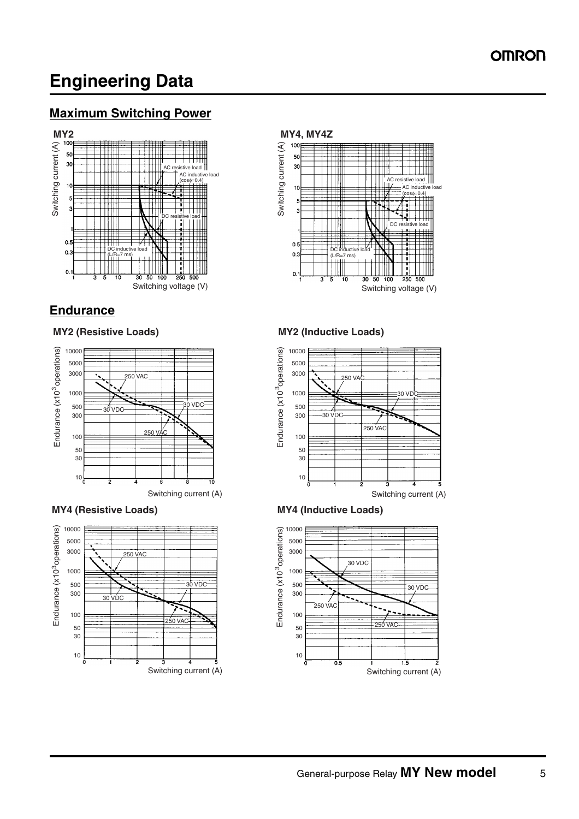# **Engineering Data**

## **Maximum Switching Power**



## **Endurance**







#### **MY2 (Resistive Loads) MY2 (Inductive Loads)**



#### **MY4 (Resistive Loads) MY4 (Inductive Loads)**

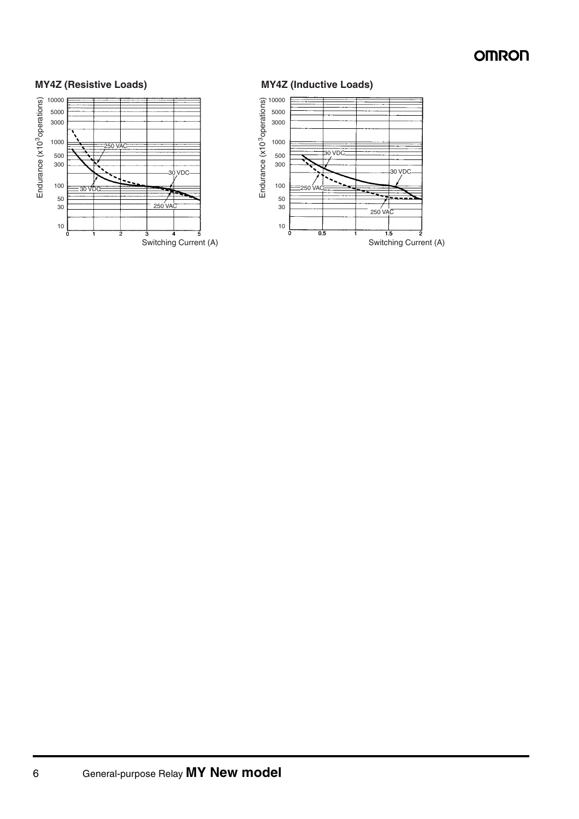

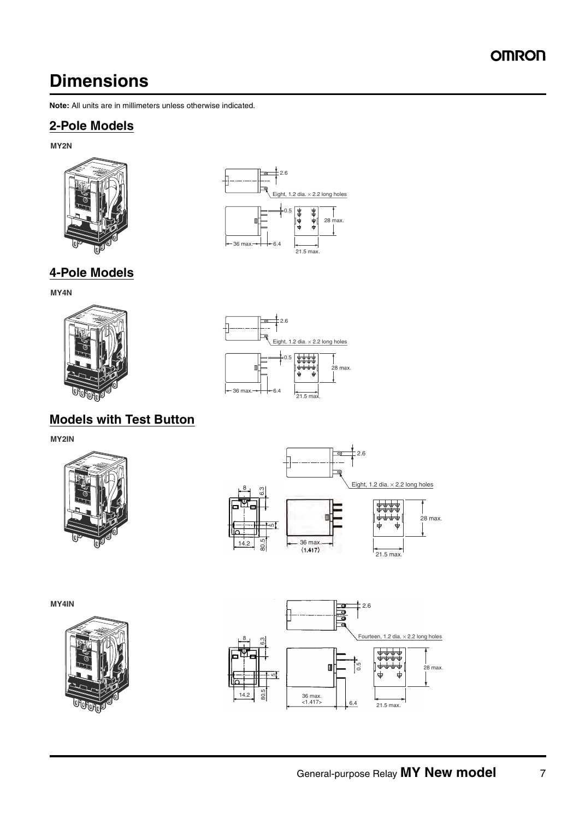# **Dimensions**

**Note:** All units are in millimeters unless otherwise indicated.

## **2-Pole Models**

**MY2N**



**4-Pole Models**



**MY4N**



# **Models with Test Button**

**MY2IN**



**MY4IN**







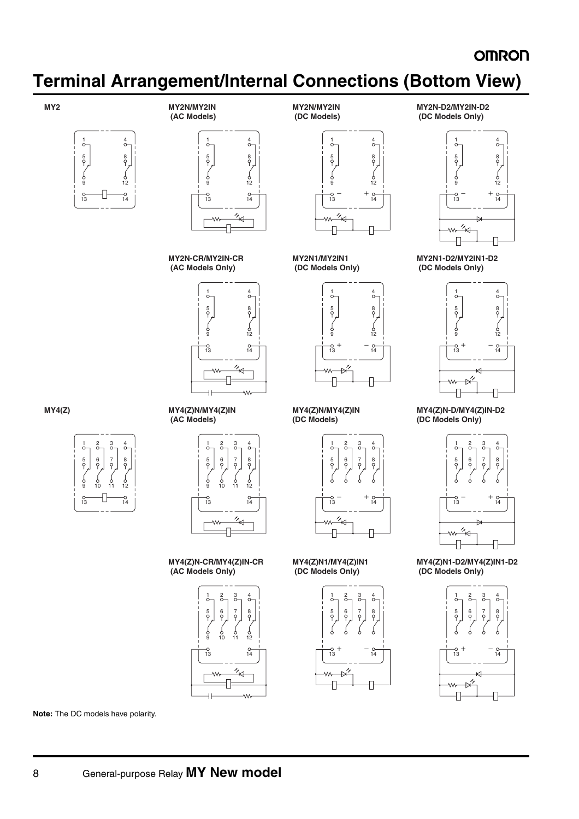# **Terminal Arrangement/Internal Connections (Bottom View)**



**MY2 MY2N/MY2IN (AC Models)**





**MY2N-CR/MY2IN-CR (AC Models Only)**





**MY2N/MY2IN (DC Models)**

**MY2N1/MY2IN1 (DC Models Only)**



**MY4(Z)N/MY4(Z)IN (DC Models)**



**MY4(Z)N1/MY4(Z)IN1 (DC Models Only)**







**MY2N1-D2/MY2IN1-D2 (DC Models Only)**



**MY4(Z)N-D/MY4(Z)IN-D2 (DC Models Only)**



**MY4(Z)N1-D2/MY4(Z)IN1-D2 (DC Models Only)**











**MY4(Z)N-CR/MY4(Z)IN-CR (AC Models Only)**



**Note:** The DC models have polarity.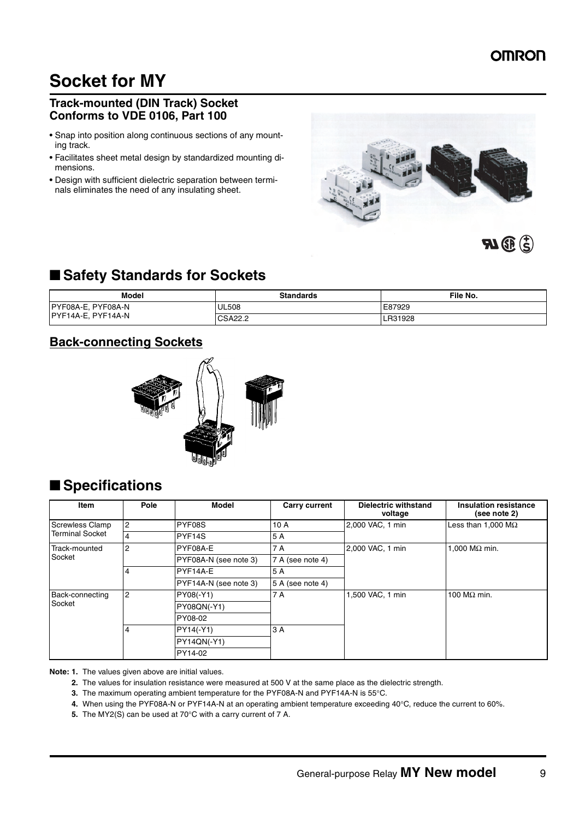# **Socket for MY**

### <span id="page-8-0"></span>**Track-mounted (DIN Track) Socket Conforms to VDE 0106, Part 100**

- Snap into position along continuous sections of any mounting track.
- Facilitates sheet metal design by standardized mounting dimensions.
- Design with sufficient dielectric separation between terminals eliminates the need of any insulating sheet.



## ■ Safety Standards for Sockets

| <b>Model</b>          | <b>Standards</b> | File No. |
|-----------------------|------------------|----------|
| PYF08A-E,<br>PYF08A-N | <b>UL508</b>     | E87929   |
| PYF14A-E,<br>PYF14A-N | CSA22.2          | R31928   |

## **Back-connecting Sockets**



# ■ **Specifications**

| <b>Item</b>            | Pole           | <b>Model</b>          | <b>Carry current</b> | <b>Dielectric withstand</b><br>voltage | <b>Insulation resistance</b><br>(see note 2) |
|------------------------|----------------|-----------------------|----------------------|----------------------------------------|----------------------------------------------|
| <b>Screwless Clamp</b> | $\overline{c}$ | PYF08S                | 10 A                 | 2,000 VAC, 1 min                       | Less than 1,000 $\text{M}\Omega$             |
| <b>Terminal Socket</b> | 4              | PYF <sub>14S</sub>    | 5 A                  |                                        |                                              |
| Track-mounted          | $\overline{2}$ | PYF08A-E              | 7 A                  | 2,000 VAC, 1 min                       | 1,000 M $\Omega$ min.                        |
| Socket                 |                | PYF08A-N (see note 3) | 7 A (see note 4)     |                                        |                                              |
|                        | 4              | PYF14A-E              | 5 A                  |                                        |                                              |
|                        |                | PYF14A-N (see note 3) | 5 A (see note 4)     |                                        |                                              |
| Back-connecting        | $\overline{2}$ | PY08(-Y1)             | 7 A                  | 1,500 VAC, 1 min                       | 100 M $\Omega$ min.                          |
| Socket                 |                | PY08QN(-Y1)           |                      |                                        |                                              |
|                        |                | PY08-02               |                      |                                        |                                              |
|                        | 4              | PY14(-Y1)             | 3 A                  |                                        |                                              |
|                        |                | <b>PY14QN(-Y1)</b>    |                      |                                        |                                              |
|                        |                | PY14-02               |                      |                                        |                                              |

**Note: 1.** The values given above are initial values.

**2.** The values for insulation resistance were measured at 500 V at the same place as the dielectric strength.

**3.** The maximum operating ambient temperature for the PYF08A-N and PYF14A-N is 55°C.

**4.** When using the PYF08A-N or PYF14A-N at an operating ambient temperature exceeding 40°C, reduce the current to 60%.

**5.** The MY2(S) can be used at 70°C with a carry current of 7 A.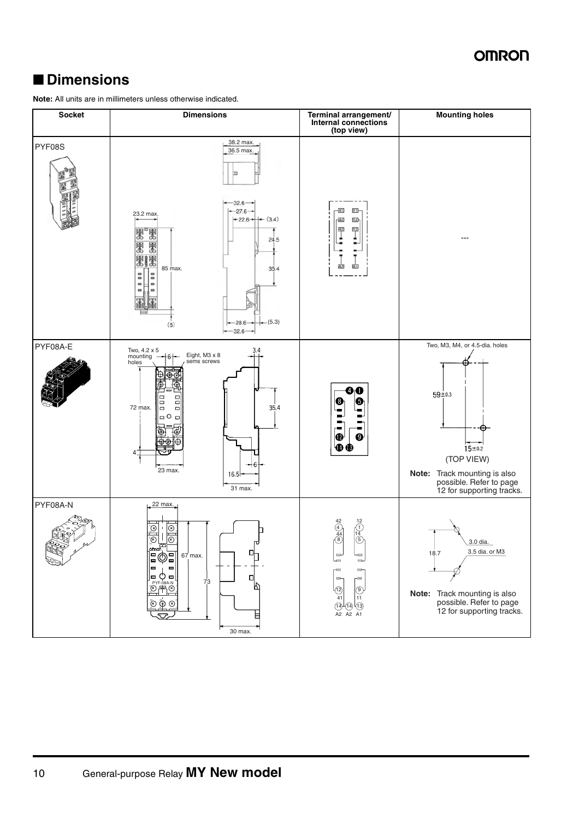# ■ **Dimensions**

**Note:** All units are in millimeters unless otherwise indicated.

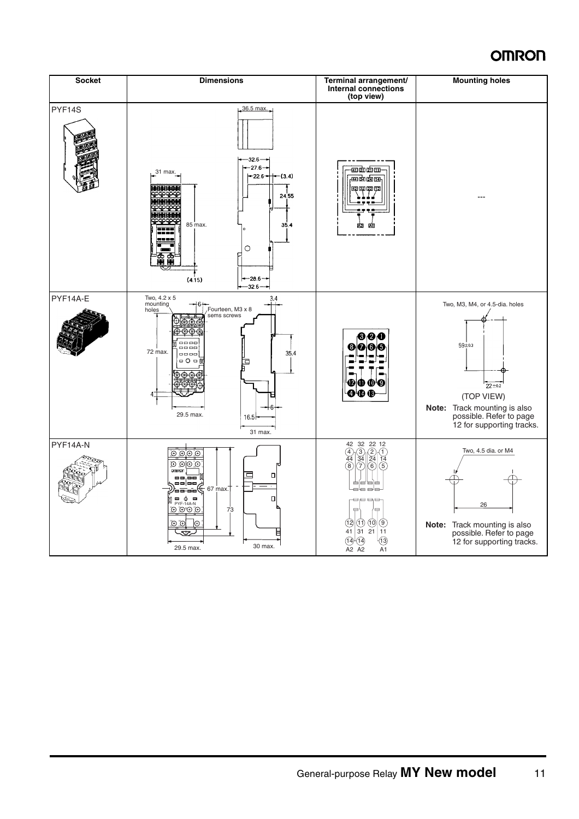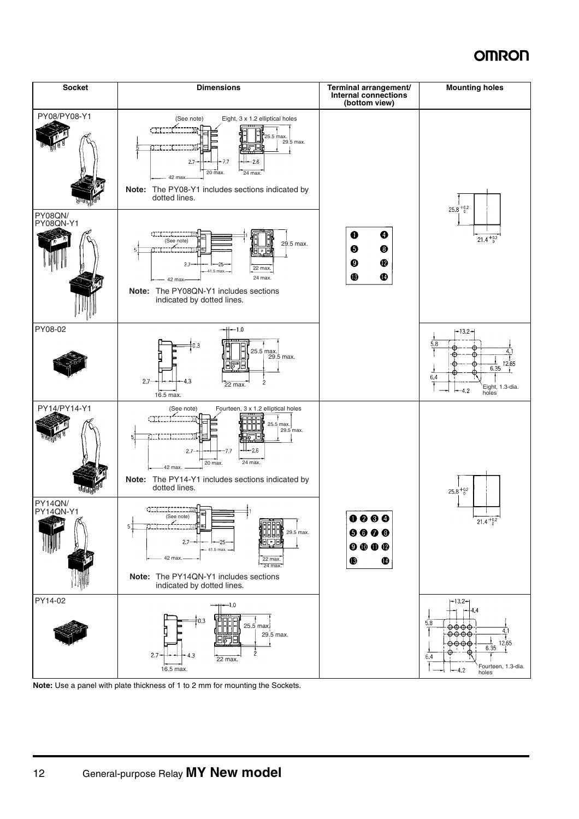

**Note:** Use a panel with plate thickness of 1 to 2 mm for mounting the Sockets.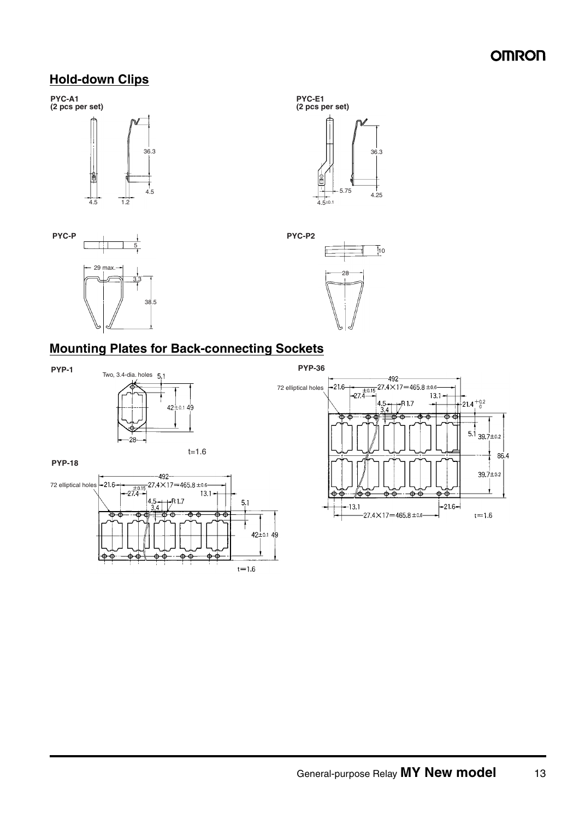## **Hold-down Clips**

**PYC-A1 (2 pcs per set)**









## **Mounting Plates for Back-connecting Sockets**





**PYP-18**

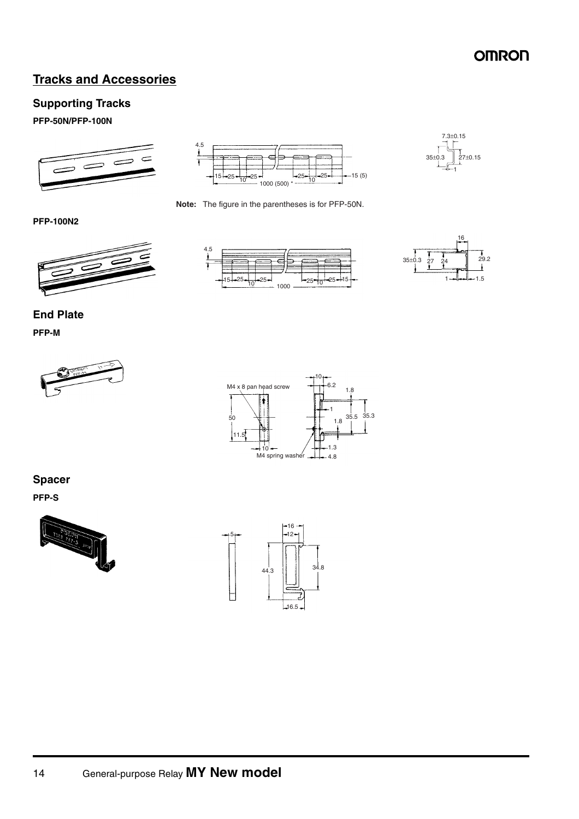## **Tracks and Accessories**

### **Supporting Tracks**

#### **PFP-50N/PFP-100N**





**Note:** The figure in the parentheses is for PFP-50N.

## 35±0.3 7.3±0.15 27±0.15

#### **PFP-100N2**







### **End Plate**

#### **PFP-M**





## **Spacer**

**PFP-S**



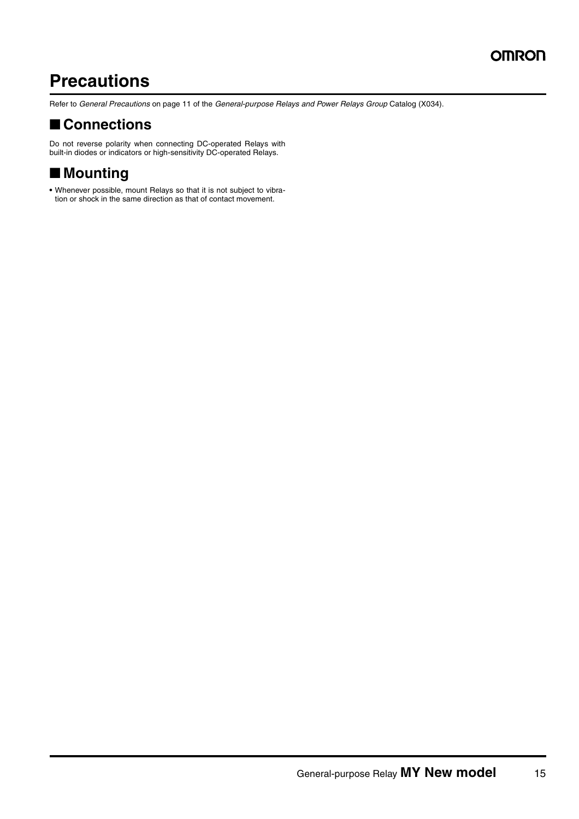# **Precautions**

Refer to *General Precautions* on page 11 of the *General-purpose Relays and Power Relays Group* Catalog (X034).

# ■ **Connections**

Do not reverse polarity when connecting DC-operated Relays with built-in diodes or indicators or high-sensitivity DC-operated Relays.

# ■ **Mounting**

**•** Whenever possible, mount Relays so that it is not subject to vibration or shock in the same direction as that of contact movement.